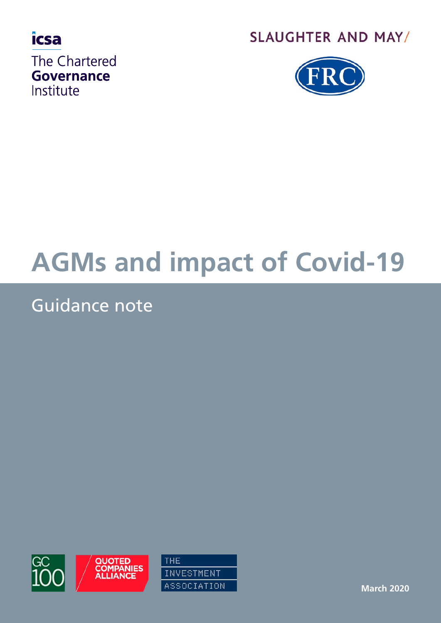

# **SLAUGHTER AND MAY/**



# **AGMs and impact of Covid-19**

# Guidance note



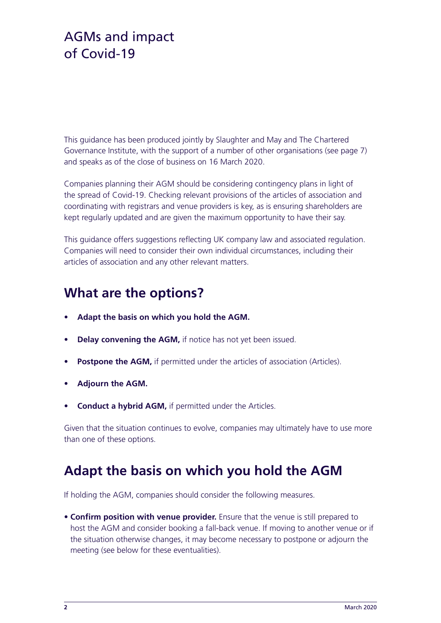This guidance has been produced jointly by Slaughter and May and The Chartered Governance Institute, with the support of a number of other organisations (see page 7) and speaks as of the close of business on 16 March 2020.

Companies planning their AGM should be considering contingency plans in light of the spread of Covid-19. Checking relevant provisions of the articles of association and coordinating with registrars and venue providers is key, as is ensuring shareholders are kept regularly updated and are given the maximum opportunity to have their say.

This guidance offers suggestions reflecting UK company law and associated regulation. Companies will need to consider their own individual circumstances, including their articles of association and any other relevant matters.

#### **What are the options?**

- **• Adapt the basis on which you hold the AGM.**
- **• Delay convening the AGM,** if notice has not yet been issued.
- **• Postpone the AGM,** if permitted under the articles of association (Articles).
- **• Adjourn the AGM.**
- **• Conduct a hybrid AGM,** if permitted under the Articles.

Given that the situation continues to evolve, companies may ultimately have to use more than one of these options.

#### **Adapt the basis on which you hold the AGM**

If holding the AGM, companies should consider the following measures.

• **Confirm position with venue provider.** Ensure that the venue is still prepared to host the AGM and consider booking a fall-back venue. If moving to another venue or if the situation otherwise changes, it may become necessary to postpone or adjourn the meeting (see below for these eventualities).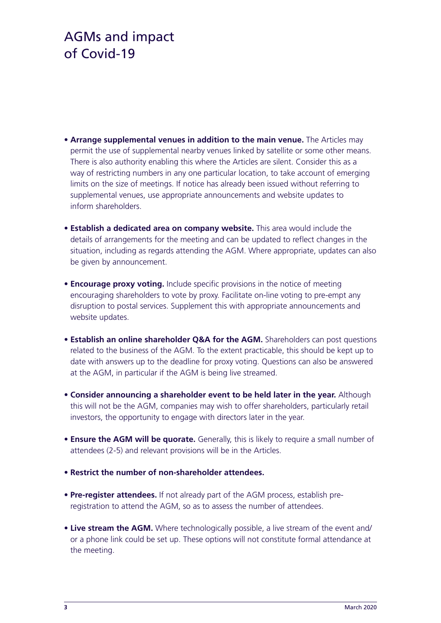- **Arrange supplemental venues in addition to the main venue.** The Articles may permit the use of supplemental nearby venues linked by satellite or some other means. There is also authority enabling this where the Articles are silent. Consider this as a way of restricting numbers in any one particular location, to take account of emerging limits on the size of meetings. If notice has already been issued without referring to supplemental venues, use appropriate announcements and website updates to inform shareholders.
- **Establish a dedicated area on company website.** This area would include the details of arrangements for the meeting and can be updated to reflect changes in the situation, including as regards attending the AGM. Where appropriate, updates can also be given by announcement.
- **Encourage proxy voting.** Include specific provisions in the notice of meeting encouraging shareholders to vote by proxy. Facilitate on-line voting to pre-empt any disruption to postal services. Supplement this with appropriate announcements and website updates.
- **Establish an online shareholder Q&A for the AGM.** Shareholders can post questions related to the business of the AGM. To the extent practicable, this should be kept up to date with answers up to the deadline for proxy voting. Questions can also be answered at the AGM, in particular if the AGM is being live streamed.
- **Consider announcing a shareholder event to be held later in the year.** Although this will not be the AGM, companies may wish to offer shareholders, particularly retail investors, the opportunity to engage with directors later in the year.
- **Ensure the AGM will be quorate.** Generally, this is likely to require a small number of attendees (2-5) and relevant provisions will be in the Articles.
- **Restrict the number of non-shareholder attendees.**
- **Pre-register attendees.** If not already part of the AGM process, establish preregistration to attend the AGM, so as to assess the number of attendees.
- **Live stream the AGM.** Where technologically possible, a live stream of the event and/ or a phone link could be set up. These options will not constitute formal attendance at the meeting.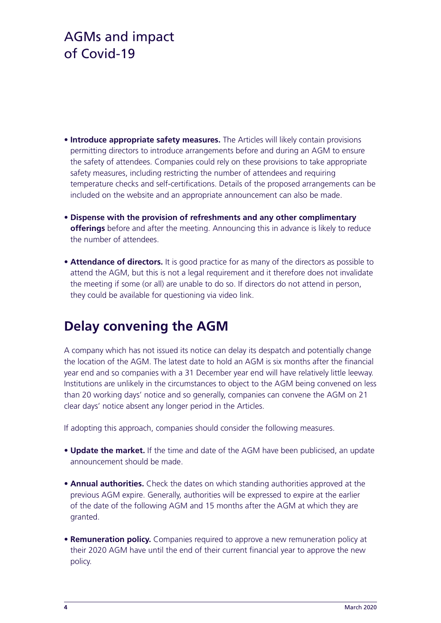- **Introduce appropriate safety measures.** The Articles will likely contain provisions permitting directors to introduce arrangements before and during an AGM to ensure the safety of attendees. Companies could rely on these provisions to take appropriate safety measures, including restricting the number of attendees and requiring temperature checks and self-certifications. Details of the proposed arrangements can be included on the website and an appropriate announcement can also be made.
- **Dispense with the provision of refreshments and any other complimentary offerings** before and after the meeting. Announcing this in advance is likely to reduce the number of attendees.
- **Attendance of directors.** It is good practice for as many of the directors as possible to attend the AGM, but this is not a legal requirement and it therefore does not invalidate the meeting if some (or all) are unable to do so. If directors do not attend in person, they could be available for questioning via video link.

#### **Delay convening the AGM**

A company which has not issued its notice can delay its despatch and potentially change the location of the AGM. The latest date to hold an AGM is six months after the financial year end and so companies with a 31 December year end will have relatively little leeway. Institutions are unlikely in the circumstances to object to the AGM being convened on less than 20 working days' notice and so generally, companies can convene the AGM on 21 clear days' notice absent any longer period in the Articles.

If adopting this approach, companies should consider the following measures.

- **Update the market.** If the time and date of the AGM have been publicised, an update announcement should be made.
- **Annual authorities.** Check the dates on which standing authorities approved at the previous AGM expire. Generally, authorities will be expressed to expire at the earlier of the date of the following AGM and 15 months after the AGM at which they are granted.
- **Remuneration policy.** Companies required to approve a new remuneration policy at their 2020 AGM have until the end of their current financial year to approve the new policy.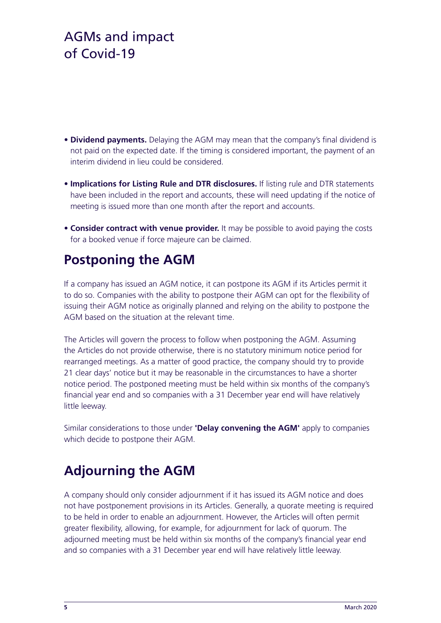- **Dividend payments.** Delaying the AGM may mean that the company's final dividend is not paid on the expected date. If the timing is considered important, the payment of an interim dividend in lieu could be considered.
- **Implications for Listing Rule and DTR disclosures.** If listing rule and DTR statements have been included in the report and accounts, these will need updating if the notice of meeting is issued more than one month after the report and accounts.
- **Consider contract with venue provider.** It may be possible to avoid paying the costs for a booked venue if force majeure can be claimed.

# **Postponing the AGM**

If a company has issued an AGM notice, it can postpone its AGM if its Articles permit it to do so. Companies with the ability to postpone their AGM can opt for the flexibility of issuing their AGM notice as originally planned and relying on the ability to postpone the AGM based on the situation at the relevant time.

The Articles will govern the process to follow when postponing the AGM. Assuming the Articles do not provide otherwise, there is no statutory minimum notice period for rearranged meetings. As a matter of good practice, the company should try to provide 21 clear days' notice but it may be reasonable in the circumstances to have a shorter notice period. The postponed meeting must be held within six months of the company's financial year end and so companies with a 31 December year end will have relatively little leeway.

Similar considerations to those under **'Delay convening the AGM'** apply to companies which decide to postpone their AGM.

# **Adjourning the AGM**

A company should only consider adjournment if it has issued its AGM notice and does not have postponement provisions in its Articles. Generally, a quorate meeting is required to be held in order to enable an adjournment. However, the Articles will often permit greater flexibility, allowing, for example, for adjournment for lack of quorum. The adjourned meeting must be held within six months of the company's financial year end and so companies with a 31 December year end will have relatively little leeway.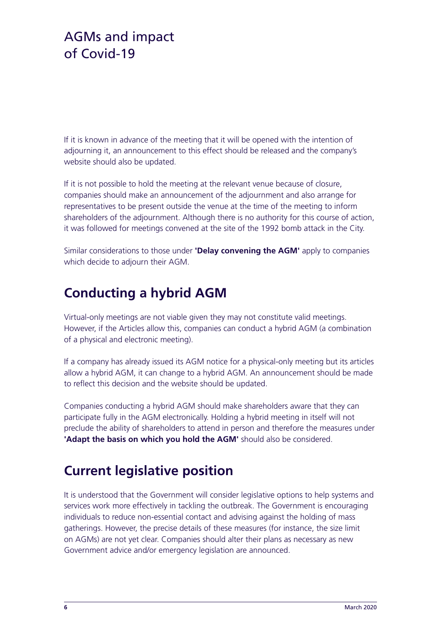If it is known in advance of the meeting that it will be opened with the intention of adjourning it, an announcement to this effect should be released and the company's website should also be updated.

If it is not possible to hold the meeting at the relevant venue because of closure, companies should make an announcement of the adjournment and also arrange for representatives to be present outside the venue at the time of the meeting to inform shareholders of the adjournment. Although there is no authority for this course of action, it was followed for meetings convened at the site of the 1992 bomb attack in the City.

Similar considerations to those under **'Delay convening the AGM'** apply to companies which decide to adjourn their AGM.

#### **Conducting a hybrid AGM**

Virtual-only meetings are not viable given they may not constitute valid meetings. However, if the Articles allow this, companies can conduct a hybrid AGM (a combination of a physical and electronic meeting).

If a company has already issued its AGM notice for a physical-only meeting but its articles allow a hybrid AGM, it can change to a hybrid AGM. An announcement should be made to reflect this decision and the website should be updated.

Companies conducting a hybrid AGM should make shareholders aware that they can participate fully in the AGM electronically. Holding a hybrid meeting in itself will not preclude the ability of shareholders to attend in person and therefore the measures under **'Adapt the basis on which you hold the AGM'** should also be considered.

#### **Current legislative position**

It is understood that the Government will consider legislative options to help systems and services work more effectively in tackling the outbreak. The Government is encouraging individuals to reduce non-essential contact and advising against the holding of mass gatherings. However, the precise details of these measures (for instance, the size limit on AGMs) are not yet clear. Companies should alter their plans as necessary as new Government advice and/or emergency legislation are announced.